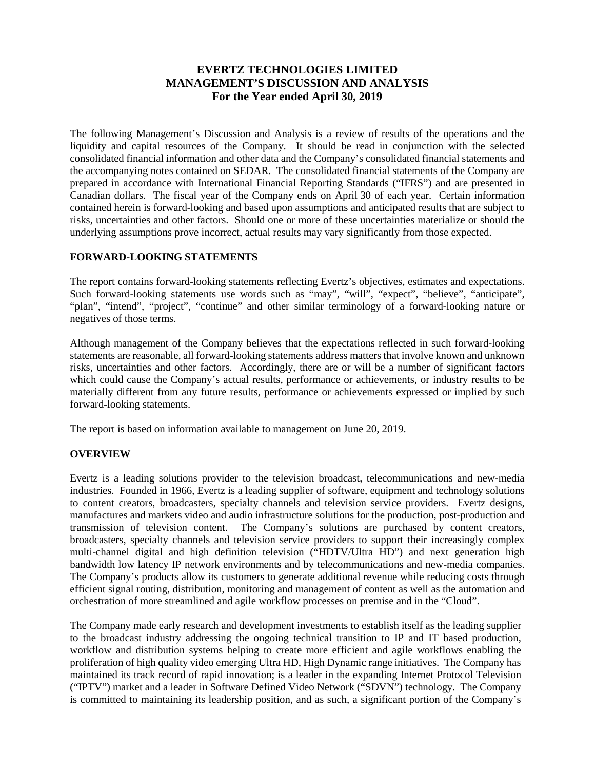# **EVERTZ TECHNOLOGIES LIMITED MANAGEMENT'S DISCUSSION AND ANALYSIS For the Year ended April 30, 2019**

The following Management's Discussion and Analysis is a review of results of the operations and the liquidity and capital resources of the Company. It should be read in conjunction with the selected consolidated financial information and other data and the Company's consolidated financial statements and the accompanying notes contained on SEDAR. The consolidated financial statements of the Company are prepared in accordance with International Financial Reporting Standards ("IFRS") and are presented in Canadian dollars. The fiscal year of the Company ends on April 30 of each year. Certain information contained herein is forward-looking and based upon assumptions and anticipated results that are subject to risks, uncertainties and other factors. Should one or more of these uncertainties materialize or should the underlying assumptions prove incorrect, actual results may vary significantly from those expected.

# **FORWARD-LOOKING STATEMENTS**

The report contains forward-looking statements reflecting Evertz's objectives, estimates and expectations. Such forward-looking statements use words such as "may", "will", "expect", "believe", "anticipate", "plan", "intend", "project", "continue" and other similar terminology of a forward-looking nature or negatives of those terms.

Although management of the Company believes that the expectations reflected in such forward-looking statements are reasonable, all forward-looking statements address matters that involve known and unknown risks, uncertainties and other factors. Accordingly, there are or will be a number of significant factors which could cause the Company's actual results, performance or achievements, or industry results to be materially different from any future results, performance or achievements expressed or implied by such forward-looking statements.

The report is based on information available to management on June 20, 2019.

## **OVERVIEW**

Evertz is a leading solutions provider to the television broadcast, telecommunications and new-media industries. Founded in 1966, Evertz is a leading supplier of software, equipment and technology solutions to content creators, broadcasters, specialty channels and television service providers. Evertz designs, manufactures and markets video and audio infrastructure solutions for the production, post-production and transmission of television content. The Company's solutions are purchased by content creators, broadcasters, specialty channels and television service providers to support their increasingly complex multi-channel digital and high definition television ("HDTV/Ultra HD") and next generation high bandwidth low latency IP network environments and by telecommunications and new-media companies. The Company's products allow its customers to generate additional revenue while reducing costs through efficient signal routing, distribution, monitoring and management of content as well as the automation and orchestration of more streamlined and agile workflow processes on premise and in the "Cloud".

The Company made early research and development investments to establish itself as the leading supplier to the broadcast industry addressing the ongoing technical transition to IP and IT based production, workflow and distribution systems helping to create more efficient and agile workflows enabling the proliferation of high quality video emerging Ultra HD, High Dynamic range initiatives. The Company has maintained its track record of rapid innovation; is a leader in the expanding Internet Protocol Television ("IPTV") market and a leader in Software Defined Video Network ("SDVN") technology. The Company is committed to maintaining its leadership position, and as such, a significant portion of the Company's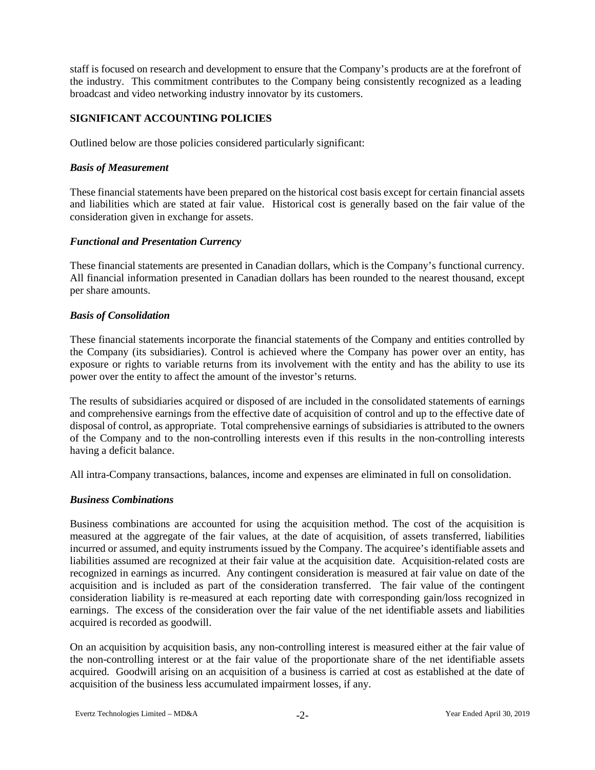staff is focused on research and development to ensure that the Company's products are at the forefront of the industry. This commitment contributes to the Company being consistently recognized as a leading broadcast and video networking industry innovator by its customers.

## **SIGNIFICANT ACCOUNTING POLICIES**

Outlined below are those policies considered particularly significant:

#### *Basis of Measurement*

These financial statements have been prepared on the historical cost basis except for certain financial assets and liabilities which are stated at fair value. Historical cost is generally based on the fair value of the consideration given in exchange for assets.

## *Functional and Presentation Currency*

These financial statements are presented in Canadian dollars, which is the Company's functional currency. All financial information presented in Canadian dollars has been rounded to the nearest thousand, except per share amounts.

## *Basis of Consolidation*

These financial statements incorporate the financial statements of the Company and entities controlled by the Company (its subsidiaries). Control is achieved where the Company has power over an entity, has exposure or rights to variable returns from its involvement with the entity and has the ability to use its power over the entity to affect the amount of the investor's returns.

The results of subsidiaries acquired or disposed of are included in the consolidated statements of earnings and comprehensive earnings from the effective date of acquisition of control and up to the effective date of disposal of control, as appropriate. Total comprehensive earnings of subsidiaries is attributed to the owners of the Company and to the non-controlling interests even if this results in the non-controlling interests having a deficit balance.

All intra-Company transactions, balances, income and expenses are eliminated in full on consolidation.

## *Business Combinations*

Business combinations are accounted for using the acquisition method. The cost of the acquisition is measured at the aggregate of the fair values, at the date of acquisition, of assets transferred, liabilities incurred or assumed, and equity instruments issued by the Company. The acquiree's identifiable assets and liabilities assumed are recognized at their fair value at the acquisition date. Acquisition-related costs are recognized in earnings as incurred. Any contingent consideration is measured at fair value on date of the acquisition and is included as part of the consideration transferred. The fair value of the contingent consideration liability is re-measured at each reporting date with corresponding gain/loss recognized in earnings. The excess of the consideration over the fair value of the net identifiable assets and liabilities acquired is recorded as goodwill.

On an acquisition by acquisition basis, any non-controlling interest is measured either at the fair value of the non-controlling interest or at the fair value of the proportionate share of the net identifiable assets acquired. Goodwill arising on an acquisition of a business is carried at cost as established at the date of acquisition of the business less accumulated impairment losses, if any.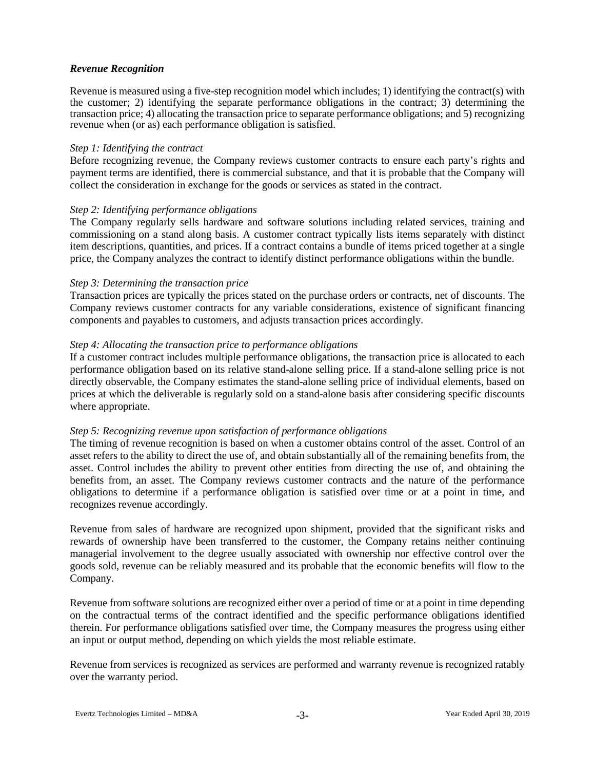#### *Revenue Recognition*

Revenue is measured using a five-step recognition model which includes; 1) identifying the contract(s) with the customer; 2) identifying the separate performance obligations in the contract; 3) determining the transaction price; 4) allocating the transaction price to separate performance obligations; and 5) recognizing revenue when (or as) each performance obligation is satisfied.

#### *Step 1: Identifying the contract*

Before recognizing revenue, the Company reviews customer contracts to ensure each party's rights and payment terms are identified, there is commercial substance, and that it is probable that the Company will collect the consideration in exchange for the goods or services as stated in the contract.

#### *Step 2: Identifying performance obligations*

The Company regularly sells hardware and software solutions including related services, training and commissioning on a stand along basis. A customer contract typically lists items separately with distinct item descriptions, quantities, and prices. If a contract contains a bundle of items priced together at a single price, the Company analyzes the contract to identify distinct performance obligations within the bundle.

#### *Step 3: Determining the transaction price*

Transaction prices are typically the prices stated on the purchase orders or contracts, net of discounts. The Company reviews customer contracts for any variable considerations, existence of significant financing components and payables to customers, and adjusts transaction prices accordingly.

#### *Step 4: Allocating the transaction price to performance obligations*

If a customer contract includes multiple performance obligations, the transaction price is allocated to each performance obligation based on its relative stand-alone selling price. If a stand-alone selling price is not directly observable, the Company estimates the stand-alone selling price of individual elements, based on prices at which the deliverable is regularly sold on a stand-alone basis after considering specific discounts where appropriate.

## *Step 5: Recognizing revenue upon satisfaction of performance obligations*

The timing of revenue recognition is based on when a customer obtains control of the asset. Control of an asset refers to the ability to direct the use of, and obtain substantially all of the remaining benefits from, the asset. Control includes the ability to prevent other entities from directing the use of, and obtaining the benefits from, an asset. The Company reviews customer contracts and the nature of the performance obligations to determine if a performance obligation is satisfied over time or at a point in time, and recognizes revenue accordingly.

Revenue from sales of hardware are recognized upon shipment, provided that the significant risks and rewards of ownership have been transferred to the customer, the Company retains neither continuing managerial involvement to the degree usually associated with ownership nor effective control over the goods sold, revenue can be reliably measured and its probable that the economic benefits will flow to the Company.

Revenue from software solutions are recognized either over a period of time or at a point in time depending on the contractual terms of the contract identified and the specific performance obligations identified therein. For performance obligations satisfied over time, the Company measures the progress using either an input or output method, depending on which yields the most reliable estimate.

Revenue from services is recognized as services are performed and warranty revenue is recognized ratably over the warranty period.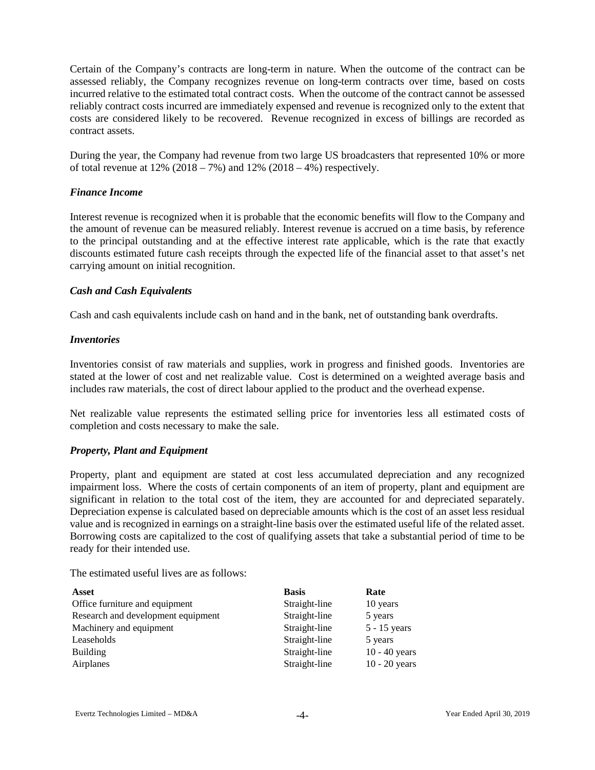Certain of the Company's contracts are long-term in nature. When the outcome of the contract can be assessed reliably, the Company recognizes revenue on long-term contracts over time, based on costs incurred relative to the estimated total contract costs. When the outcome of the contract cannot be assessed reliably contract costs incurred are immediately expensed and revenue is recognized only to the extent that costs are considered likely to be recovered. Revenue recognized in excess of billings are recorded as contract assets.

During the year, the Company had revenue from two large US broadcasters that represented 10% or more of total revenue at  $12\%$  (2018 – 7%) and  $12\%$  (2018 – 4%) respectively.

## *Finance Income*

Interest revenue is recognized when it is probable that the economic benefits will flow to the Company and the amount of revenue can be measured reliably. Interest revenue is accrued on a time basis, by reference to the principal outstanding and at the effective interest rate applicable, which is the rate that exactly discounts estimated future cash receipts through the expected life of the financial asset to that asset's net carrying amount on initial recognition.

#### *Cash and Cash Equivalents*

Cash and cash equivalents include cash on hand and in the bank, net of outstanding bank overdrafts.

#### *Inventories*

Inventories consist of raw materials and supplies, work in progress and finished goods. Inventories are stated at the lower of cost and net realizable value. Cost is determined on a weighted average basis and includes raw materials, the cost of direct labour applied to the product and the overhead expense.

Net realizable value represents the estimated selling price for inventories less all estimated costs of completion and costs necessary to make the sale.

## *Property, Plant and Equipment*

Property, plant and equipment are stated at cost less accumulated depreciation and any recognized impairment loss. Where the costs of certain components of an item of property, plant and equipment are significant in relation to the total cost of the item, they are accounted for and depreciated separately. Depreciation expense is calculated based on depreciable amounts which is the cost of an asset less residual value and is recognized in earnings on a straight-line basis over the estimated useful life of the related asset. Borrowing costs are capitalized to the cost of qualifying assets that take a substantial period of time to be ready for their intended use.

The estimated useful lives are as follows:

| <b>Asset</b>                       | <b>Basis</b>  | Rate            |
|------------------------------------|---------------|-----------------|
| Office furniture and equipment     | Straight-line | 10 years        |
| Research and development equipment | Straight-line | 5 years         |
| Machinery and equipment            | Straight-line | $5 - 15$ years  |
| Leaseholds                         | Straight-line | 5 years         |
| <b>Building</b>                    | Straight-line | $10 - 40$ years |
| Airplanes                          | Straight-line | $10 - 20$ years |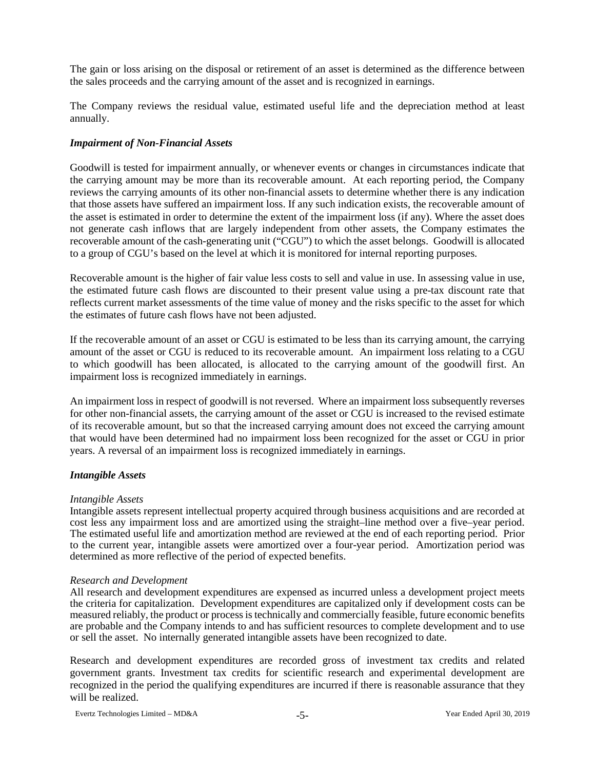The gain or loss arising on the disposal or retirement of an asset is determined as the difference between the sales proceeds and the carrying amount of the asset and is recognized in earnings.

The Company reviews the residual value, estimated useful life and the depreciation method at least annually.

#### *Impairment of Non-Financial Assets*

Goodwill is tested for impairment annually, or whenever events or changes in circumstances indicate that the carrying amount may be more than its recoverable amount. At each reporting period, the Company reviews the carrying amounts of its other non-financial assets to determine whether there is any indication that those assets have suffered an impairment loss. If any such indication exists, the recoverable amount of the asset is estimated in order to determine the extent of the impairment loss (if any). Where the asset does not generate cash inflows that are largely independent from other assets, the Company estimates the recoverable amount of the cash-generating unit ("CGU") to which the asset belongs. Goodwill is allocated to a group of CGU's based on the level at which it is monitored for internal reporting purposes.

Recoverable amount is the higher of fair value less costs to sell and value in use. In assessing value in use, the estimated future cash flows are discounted to their present value using a pre-tax discount rate that reflects current market assessments of the time value of money and the risks specific to the asset for which the estimates of future cash flows have not been adjusted.

If the recoverable amount of an asset or CGU is estimated to be less than its carrying amount, the carrying amount of the asset or CGU is reduced to its recoverable amount. An impairment loss relating to a CGU to which goodwill has been allocated, is allocated to the carrying amount of the goodwill first. An impairment loss is recognized immediately in earnings.

An impairment loss in respect of goodwill is not reversed. Where an impairment loss subsequently reverses for other non-financial assets, the carrying amount of the asset or CGU is increased to the revised estimate of its recoverable amount, but so that the increased carrying amount does not exceed the carrying amount that would have been determined had no impairment loss been recognized for the asset or CGU in prior years. A reversal of an impairment loss is recognized immediately in earnings.

#### *Intangible Assets*

#### *Intangible Assets*

Intangible assets represent intellectual property acquired through business acquisitions and are recorded at cost less any impairment loss and are amortized using the straight–line method over a five–year period. The estimated useful life and amortization method are reviewed at the end of each reporting period. Prior to the current year, intangible assets were amortized over a four-year period. Amortization period was determined as more reflective of the period of expected benefits.

#### *Research and Development*

All research and development expenditures are expensed as incurred unless a development project meets the criteria for capitalization. Development expenditures are capitalized only if development costs can be measured reliably, the product or process is technically and commercially feasible, future economic benefits are probable and the Company intends to and has sufficient resources to complete development and to use or sell the asset. No internally generated intangible assets have been recognized to date.

Research and development expenditures are recorded gross of investment tax credits and related government grants. Investment tax credits for scientific research and experimental development are recognized in the period the qualifying expenditures are incurred if there is reasonable assurance that they will be realized.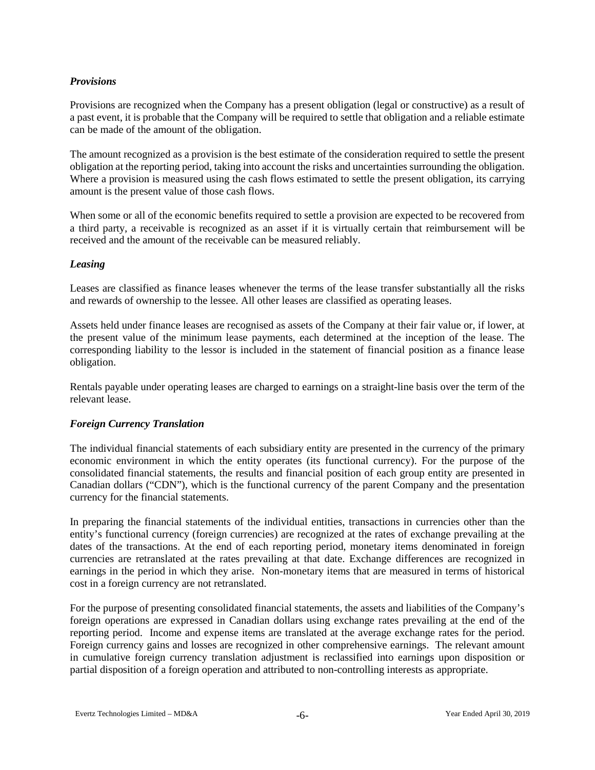# *Provisions*

Provisions are recognized when the Company has a present obligation (legal or constructive) as a result of a past event, it is probable that the Company will be required to settle that obligation and a reliable estimate can be made of the amount of the obligation.

The amount recognized as a provision is the best estimate of the consideration required to settle the present obligation at the reporting period, taking into account the risks and uncertainties surrounding the obligation. Where a provision is measured using the cash flows estimated to settle the present obligation, its carrying amount is the present value of those cash flows.

When some or all of the economic benefits required to settle a provision are expected to be recovered from a third party, a receivable is recognized as an asset if it is virtually certain that reimbursement will be received and the amount of the receivable can be measured reliably.

#### *Leasing*

Leases are classified as finance leases whenever the terms of the lease transfer substantially all the risks and rewards of ownership to the lessee. All other leases are classified as operating leases.

Assets held under finance leases are recognised as assets of the Company at their fair value or, if lower, at the present value of the minimum lease payments, each determined at the inception of the lease. The corresponding liability to the lessor is included in the statement of financial position as a finance lease obligation.

Rentals payable under operating leases are charged to earnings on a straight-line basis over the term of the relevant lease.

## *Foreign Currency Translation*

The individual financial statements of each subsidiary entity are presented in the currency of the primary economic environment in which the entity operates (its functional currency). For the purpose of the consolidated financial statements, the results and financial position of each group entity are presented in Canadian dollars ("CDN"), which is the functional currency of the parent Company and the presentation currency for the financial statements.

In preparing the financial statements of the individual entities, transactions in currencies other than the entity's functional currency (foreign currencies) are recognized at the rates of exchange prevailing at the dates of the transactions. At the end of each reporting period, monetary items denominated in foreign currencies are retranslated at the rates prevailing at that date. Exchange differences are recognized in earnings in the period in which they arise. Non-monetary items that are measured in terms of historical cost in a foreign currency are not retranslated.

For the purpose of presenting consolidated financial statements, the assets and liabilities of the Company's foreign operations are expressed in Canadian dollars using exchange rates prevailing at the end of the reporting period. Income and expense items are translated at the average exchange rates for the period. Foreign currency gains and losses are recognized in other comprehensive earnings. The relevant amount in cumulative foreign currency translation adjustment is reclassified into earnings upon disposition or partial disposition of a foreign operation and attributed to non-controlling interests as appropriate.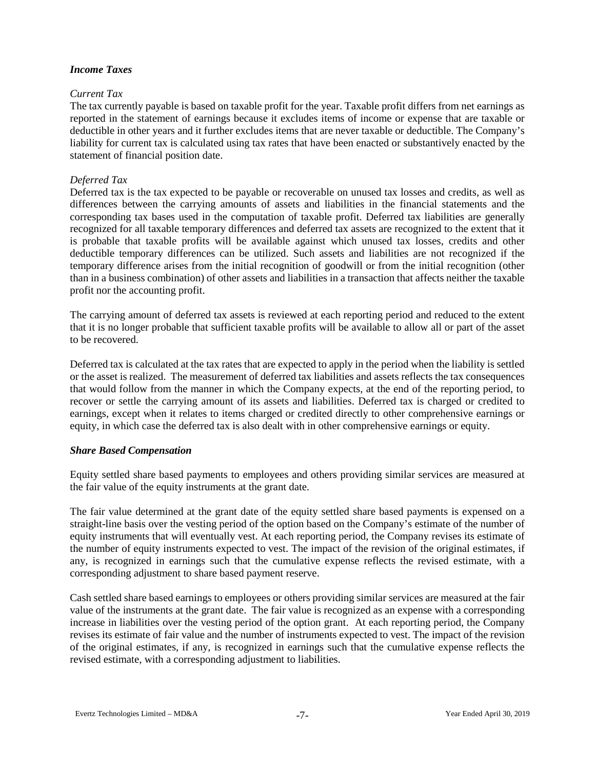## *Income Taxes*

## *Current Tax*

The tax currently payable is based on taxable profit for the year. Taxable profit differs from net earnings as reported in the statement of earnings because it excludes items of income or expense that are taxable or deductible in other years and it further excludes items that are never taxable or deductible. The Company's liability for current tax is calculated using tax rates that have been enacted or substantively enacted by the statement of financial position date.

## *Deferred Tax*

Deferred tax is the tax expected to be payable or recoverable on unused tax losses and credits, as well as differences between the carrying amounts of assets and liabilities in the financial statements and the corresponding tax bases used in the computation of taxable profit. Deferred tax liabilities are generally recognized for all taxable temporary differences and deferred tax assets are recognized to the extent that it is probable that taxable profits will be available against which unused tax losses, credits and other deductible temporary differences can be utilized. Such assets and liabilities are not recognized if the temporary difference arises from the initial recognition of goodwill or from the initial recognition (other than in a business combination) of other assets and liabilities in a transaction that affects neither the taxable profit nor the accounting profit.

The carrying amount of deferred tax assets is reviewed at each reporting period and reduced to the extent that it is no longer probable that sufficient taxable profits will be available to allow all or part of the asset to be recovered.

Deferred tax is calculated at the tax rates that are expected to apply in the period when the liability is settled or the asset is realized. The measurement of deferred tax liabilities and assets reflects the tax consequences that would follow from the manner in which the Company expects, at the end of the reporting period, to recover or settle the carrying amount of its assets and liabilities. Deferred tax is charged or credited to earnings, except when it relates to items charged or credited directly to other comprehensive earnings or equity, in which case the deferred tax is also dealt with in other comprehensive earnings or equity.

#### *Share Based Compensation*

Equity settled share based payments to employees and others providing similar services are measured at the fair value of the equity instruments at the grant date.

The fair value determined at the grant date of the equity settled share based payments is expensed on a straight-line basis over the vesting period of the option based on the Company's estimate of the number of equity instruments that will eventually vest. At each reporting period, the Company revises its estimate of the number of equity instruments expected to vest. The impact of the revision of the original estimates, if any, is recognized in earnings such that the cumulative expense reflects the revised estimate, with a corresponding adjustment to share based payment reserve.

Cash settled share based earnings to employees or others providing similar services are measured at the fair value of the instruments at the grant date. The fair value is recognized as an expense with a corresponding increase in liabilities over the vesting period of the option grant. At each reporting period, the Company revises its estimate of fair value and the number of instruments expected to vest. The impact of the revision of the original estimates, if any, is recognized in earnings such that the cumulative expense reflects the revised estimate, with a corresponding adjustment to liabilities.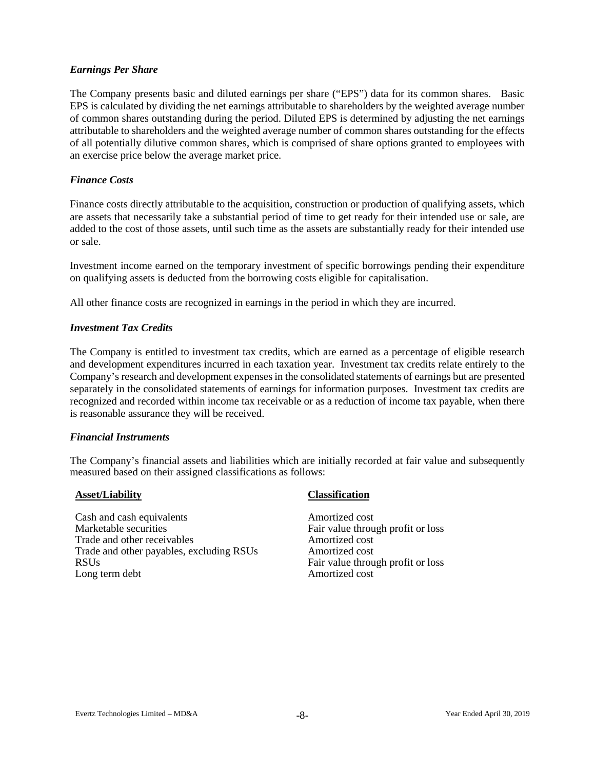## *Earnings Per Share*

The Company presents basic and diluted earnings per share ("EPS") data for its common shares. Basic EPS is calculated by dividing the net earnings attributable to shareholders by the weighted average number of common shares outstanding during the period. Diluted EPS is determined by adjusting the net earnings attributable to shareholders and the weighted average number of common shares outstanding for the effects of all potentially dilutive common shares, which is comprised of share options granted to employees with an exercise price below the average market price.

#### *Finance Costs*

Finance costs directly attributable to the acquisition, construction or production of qualifying assets, which are assets that necessarily take a substantial period of time to get ready for their intended use or sale, are added to the cost of those assets, until such time as the assets are substantially ready for their intended use or sale.

Investment income earned on the temporary investment of specific borrowings pending their expenditure on qualifying assets is deducted from the borrowing costs eligible for capitalisation.

All other finance costs are recognized in earnings in the period in which they are incurred.

#### *Investment Tax Credits*

The Company is entitled to investment tax credits, which are earned as a percentage of eligible research and development expenditures incurred in each taxation year. Investment tax credits relate entirely to the Company's research and development expenses in the consolidated statements of earnings but are presented separately in the consolidated statements of earnings for information purposes. Investment tax credits are recognized and recorded within income tax receivable or as a reduction of income tax payable, when there is reasonable assurance they will be received.

#### *Financial Instruments*

The Company's financial assets and liabilities which are initially recorded at fair value and subsequently measured based on their assigned classifications as follows:

#### **Asset/Liability Classification**

Cash and cash equivalents<br>
Marketable securities<br>
Fair value throu Trade and other receivables Trade and other payables, excluding RSUs Amortized cost RSUs Fair value through profit or loss Long term debt Amortized cost

Fair value through profit or loss<br>Amortized cost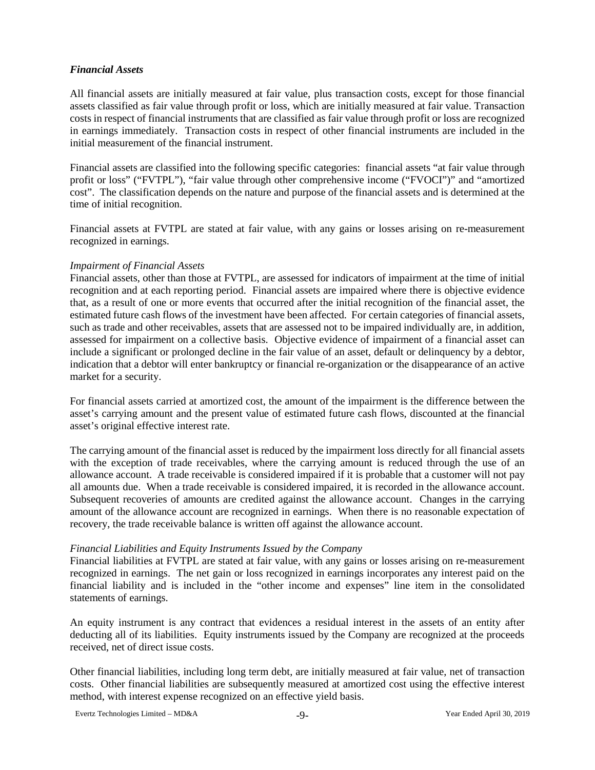## *Financial Assets*

All financial assets are initially measured at fair value, plus transaction costs, except for those financial assets classified as fair value through profit or loss, which are initially measured at fair value. Transaction costs in respect of financial instruments that are classified as fair value through profit or loss are recognized in earnings immediately. Transaction costs in respect of other financial instruments are included in the initial measurement of the financial instrument.

Financial assets are classified into the following specific categories: financial assets "at fair value through profit or loss" ("FVTPL"), "fair value through other comprehensive income ("FVOCI")" and "amortized cost". The classification depends on the nature and purpose of the financial assets and is determined at the time of initial recognition.

Financial assets at FVTPL are stated at fair value, with any gains or losses arising on re-measurement recognized in earnings.

#### *Impairment of Financial Assets*

Financial assets, other than those at FVTPL, are assessed for indicators of impairment at the time of initial recognition and at each reporting period. Financial assets are impaired where there is objective evidence that, as a result of one or more events that occurred after the initial recognition of the financial asset, the estimated future cash flows of the investment have been affected. For certain categories of financial assets, such as trade and other receivables, assets that are assessed not to be impaired individually are, in addition, assessed for impairment on a collective basis. Objective evidence of impairment of a financial asset can include a significant or prolonged decline in the fair value of an asset, default or delinquency by a debtor, indication that a debtor will enter bankruptcy or financial re-organization or the disappearance of an active market for a security.

For financial assets carried at amortized cost, the amount of the impairment is the difference between the asset's carrying amount and the present value of estimated future cash flows, discounted at the financial asset's original effective interest rate.

The carrying amount of the financial asset is reduced by the impairment loss directly for all financial assets with the exception of trade receivables, where the carrying amount is reduced through the use of an allowance account. A trade receivable is considered impaired if it is probable that a customer will not pay all amounts due. When a trade receivable is considered impaired, it is recorded in the allowance account. Subsequent recoveries of amounts are credited against the allowance account. Changes in the carrying amount of the allowance account are recognized in earnings. When there is no reasonable expectation of recovery, the trade receivable balance is written off against the allowance account.

## *Financial Liabilities and Equity Instruments Issued by the Company*

Financial liabilities at FVTPL are stated at fair value, with any gains or losses arising on re-measurement recognized in earnings. The net gain or loss recognized in earnings incorporates any interest paid on the financial liability and is included in the "other income and expenses" line item in the consolidated statements of earnings.

An equity instrument is any contract that evidences a residual interest in the assets of an entity after deducting all of its liabilities. Equity instruments issued by the Company are recognized at the proceeds received, net of direct issue costs.

Other financial liabilities, including long term debt, are initially measured at fair value, net of transaction costs. Other financial liabilities are subsequently measured at amortized cost using the effective interest method, with interest expense recognized on an effective yield basis.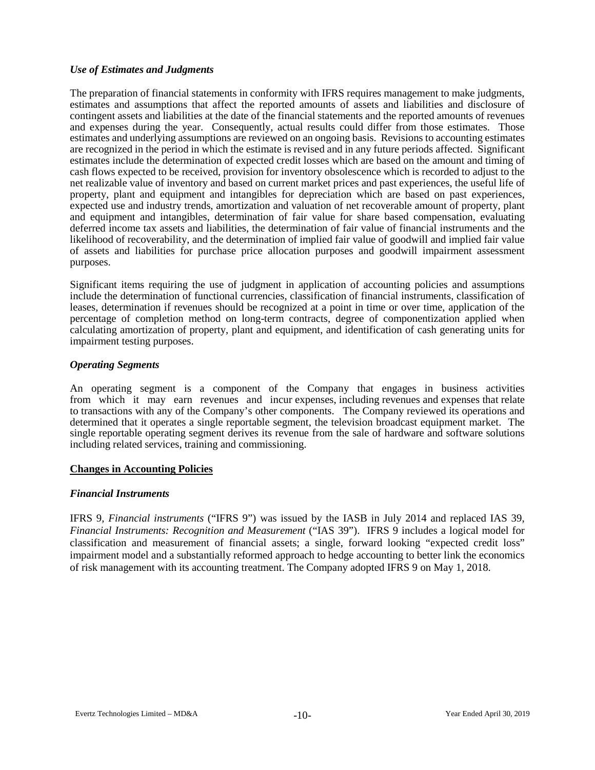## *Use of Estimates and Judgments*

The preparation of financial statements in conformity with IFRS requires management to make judgments, estimates and assumptions that affect the reported amounts of assets and liabilities and disclosure of contingent assets and liabilities at the date of the financial statements and the reported amounts of revenues and expenses during the year. Consequently, actual results could differ from those estimates. Those estimates and underlying assumptions are reviewed on an ongoing basis. Revisions to accounting estimates are recognized in the period in which the estimate is revised and in any future periods affected. Significant estimates include the determination of expected credit losses which are based on the amount and timing of cash flows expected to be received, provision for inventory obsolescence which is recorded to adjust to the net realizable value of inventory and based on current market prices and past experiences, the useful life of property, plant and equipment and intangibles for depreciation which are based on past experiences, expected use and industry trends, amortization and valuation of net recoverable amount of property, plant and equipment and intangibles, determination of fair value for share based compensation, evaluating deferred income tax assets and liabilities, the determination of fair value of financial instruments and the likelihood of recoverability, and the determination of implied fair value of goodwill and implied fair value of assets and liabilities for purchase price allocation purposes and goodwill impairment assessment purposes.

Significant items requiring the use of judgment in application of accounting policies and assumptions include the determination of functional currencies, classification of financial instruments, classification of leases, determination if revenues should be recognized at a point in time or over time, application of the percentage of completion method on long-term contracts, degree of componentization applied when calculating amortization of property, plant and equipment, and identification of cash generating units for impairment testing purposes.

#### *Operating Segments*

An operating segment is a component of the Company that engages in business activities from which it may earn revenues and incur expenses, including revenues and expenses that relate to transactions with any of the Company's other components. The Company reviewed its operations and determined that it operates a single reportable segment, the television broadcast equipment market. The single reportable operating segment derives its revenue from the sale of hardware and software solutions including related services, training and commissioning.

#### **Changes in Accounting Policies**

#### *Financial Instruments*

IFRS 9, *Financial instruments* ("IFRS 9") was issued by the IASB in July 2014 and replaced IAS 39, *Financial Instruments: Recognition and Measurement* ("IAS 39"). IFRS 9 includes a logical model for classification and measurement of financial assets; a single, forward looking "expected credit loss" impairment model and a substantially reformed approach to hedge accounting to better link the economics of risk management with its accounting treatment. The Company adopted IFRS 9 on May 1, 2018.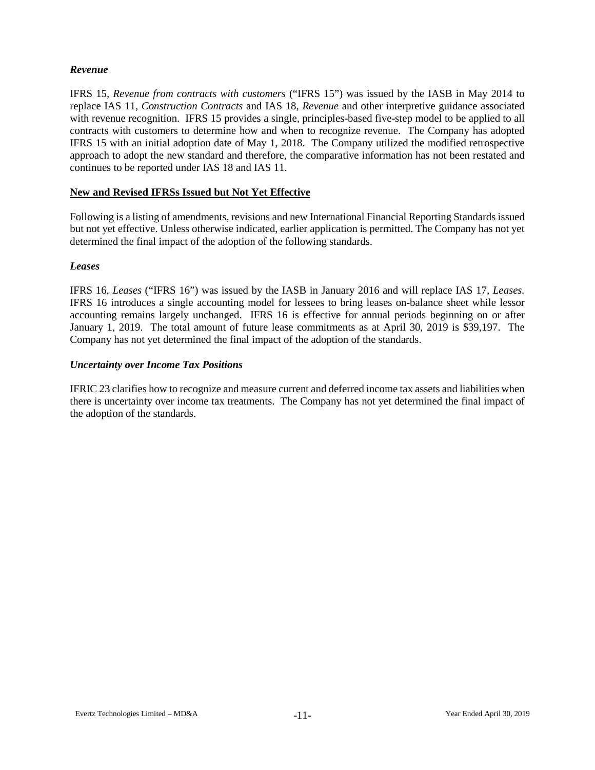## *Revenue*

IFRS 15, *Revenue from contracts with customers* ("IFRS 15") was issued by the IASB in May 2014 to replace IAS 11, *Construction Contracts* and IAS 18, *Revenue* and other interpretive guidance associated with revenue recognition. IFRS 15 provides a single, principles-based five-step model to be applied to all contracts with customers to determine how and when to recognize revenue. The Company has adopted IFRS 15 with an initial adoption date of May 1, 2018. The Company utilized the modified retrospective approach to adopt the new standard and therefore, the comparative information has not been restated and continues to be reported under IAS 18 and IAS 11.

## **New and Revised IFRSs Issued but Not Yet Effective**

Following is a listing of amendments, revisions and new International Financial Reporting Standards issued but not yet effective. Unless otherwise indicated, earlier application is permitted. The Company has not yet determined the final impact of the adoption of the following standards.

## *Leases*

IFRS 16, *Leases* ("IFRS 16") was issued by the IASB in January 2016 and will replace IAS 17, *Leases.* IFRS 16 introduces a single accounting model for lessees to bring leases on-balance sheet while lessor accounting remains largely unchanged. IFRS 16 is effective for annual periods beginning on or after January 1, 2019. The total amount of future lease commitments as at April 30, 2019 is \$39,197. The Company has not yet determined the final impact of the adoption of the standards.

#### *Uncertainty over Income Tax Positions*

IFRIC 23 clarifies how to recognize and measure current and deferred income tax assets and liabilities when there is uncertainty over income tax treatments. The Company has not yet determined the final impact of the adoption of the standards.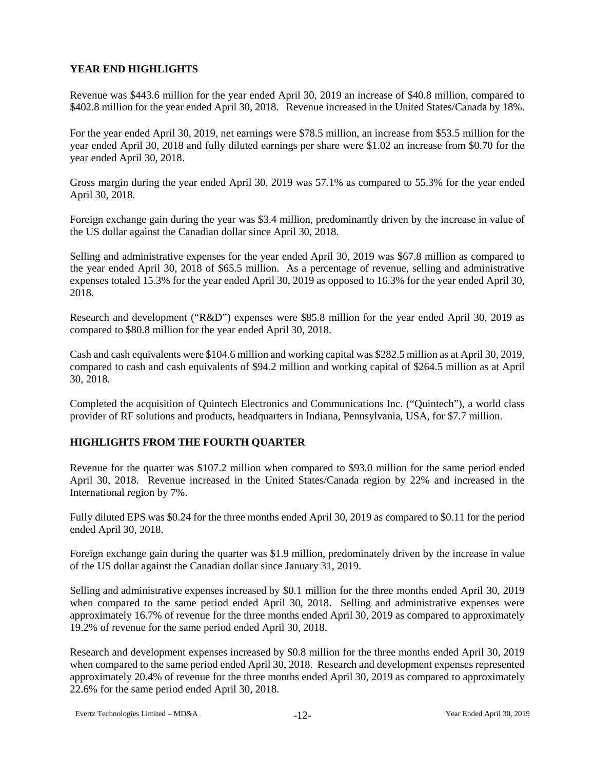# **YEAR END HIGHLIGHTS**

Revenue was \$443.6 million for the year ended April 30, 2019 an increase of \$40.8 million, compared to \$402.8 million for the year ended April 30, 2018. Revenue increased in the United States/Canada by 18%.

For the year ended April 30, 2019, net earnings were \$78.5 million, an increase from \$53.5 million for the year ended April 30, 2018 and fully diluted earnings per share were \$1.02 an increase from \$0.70 for the year ended April 30, 2018.

Gross margin during the year ended April 30, 2019 was 57.1% as compared to 55.3% for the year ended April 30, 2018.

Foreign exchange gain during the year was \$3.4 million, predominantly driven by the increase in value of the US dollar against the Canadian dollar since April 30, 2018.

Selling and administrative expenses for the year ended April 30, 2019 was \$67.8 million as compared to the year ended April 30, 2018 of \$65.5 million. As a percentage of revenue, selling and administrative expenses totaled 15.3% for the year ended April 30, 2019 as opposed to 16.3% for the year ended April 30, 2018.

Research and development ("R&D") expenses were \$85.8 million for the year ended April 30, 2019 as compared to \$80.8 million for the year ended April 30, 2018.

Cash and cash equivalents were \$104.6 million and working capital was \$282.5 million as at April 30, 2019, compared to cash and cash equivalents of \$94.2 million and working capital of \$264.5 million as at April 30, 2018.

Completed the acquisition of Quintech Electronics and Communications Inc. ("Quintech"), a world class provider of RF solutions and products, headquarters in Indiana, Pennsylvania, USA, for \$7.7 million.

## **HIGHLIGHTS FROM THE FOURTH QUARTER**

Revenue for the quarter was \$107.2 million when compared to \$93.0 million for the same period ended April 30, 2018. Revenue increased in the United States/Canada region by 22% and increased in the International region by 7%.

Fully diluted EPS was \$0.24 for the three months ended April 30, 2019 as compared to \$0.11 for the period ended April 30, 2018.

Foreign exchange gain during the quarter was \$1.9 million, predominately driven by the increase in value of the US dollar against the Canadian dollar since January 31, 2019.

Selling and administrative expenses increased by \$0.1 million for the three months ended April 30, 2019 when compared to the same period ended April 30, 2018. Selling and administrative expenses were approximately 16.7% of revenue for the three months ended April 30, 2019 as compared to approximately 19.2% of revenue for the same period ended April 30, 2018.

Research and development expenses increased by \$0.8 million for the three months ended April 30, 2019 when compared to the same period ended April 30, 2018. Research and development expenses represented approximately 20.4% of revenue for the three months ended April 30, 2019 as compared to approximately 22.6% for the same period ended April 30, 2018.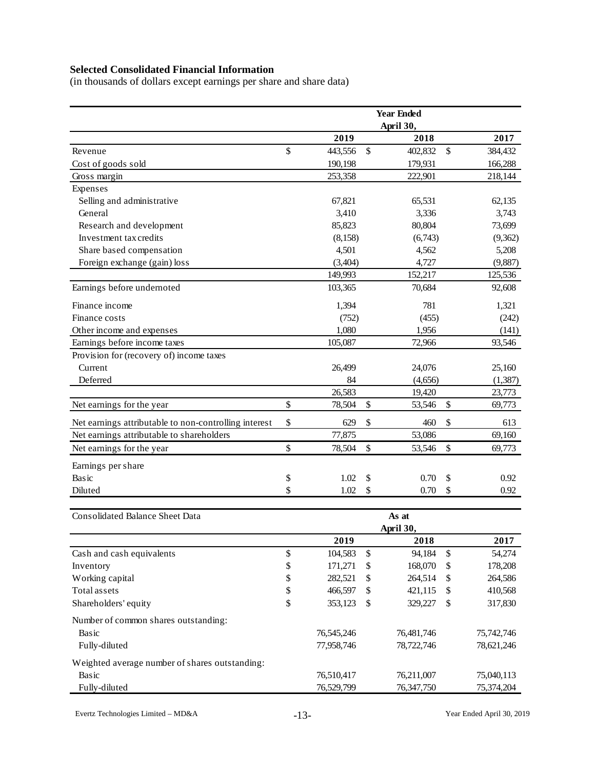# **Selected Consolidated Financial Information**

(in thousands of dollars except earnings per share and share data)

|                                                       |      |          | <b>Year Ended</b><br>April 30, |           |        |          |
|-------------------------------------------------------|------|----------|--------------------------------|-----------|--------|----------|
|                                                       |      | 2019     |                                | 2018      |        | 2017     |
| Revenue                                               | \$   | 443,556  | \$                             | 402,832   | \$     | 384,432  |
| Cost of goods sold                                    |      | 190,198  |                                | 179,931   |        | 166,288  |
| Gross margin                                          |      | 253,358  |                                | 222,901   |        | 218,144  |
| Expenses                                              |      |          |                                |           |        |          |
| Selling and administrative                            |      | 67,821   |                                | 65,531    |        | 62,135   |
| General                                               |      | 3,410    |                                | 3,336     |        | 3,743    |
| Research and development                              |      | 85,823   |                                | 80,804    |        | 73,699   |
| Investment tax credits                                |      | (8, 158) |                                | (6,743)   |        | (9,362)  |
| Share based compensation                              |      | 4,501    |                                | 4,562     |        | 5,208    |
| Foreign exchange (gain) loss                          |      | (3,404)  |                                | 4,727     |        | (9,887)  |
|                                                       |      | 149,993  |                                | 152,217   |        | 125,536  |
| Earnings before undernoted                            |      | 103,365  |                                | 70,684    |        | 92,608   |
| Finance income                                        |      | 1,394    |                                | 781       |        | 1,321    |
| Finance costs                                         |      | (752)    |                                | (455)     |        | (242)    |
| Other income and expenses                             |      | 1,080    |                                | 1,956     |        | (141)    |
| Earnings before income taxes                          |      | 105,087  |                                | 72,966    |        | 93,546   |
| Provision for (recovery of) income taxes              |      |          |                                |           |        |          |
| Current                                               |      | 26,499   |                                | 24,076    |        | 25,160   |
| Deferred                                              |      | 84       |                                | (4,656)   |        | (1, 387) |
|                                                       |      | 26,583   |                                | 19,420    |        | 23,773   |
| Net earnings for the year                             | \$   | 78,504   | \$                             | 53,546    | \$     | 69,773   |
| Net earnings attributable to non-controlling interest | $\$$ | 629      | \$                             | 460       | \$     | 613      |
| Net earnings attributable to shareholders             |      | 77,875   |                                | 53,086    |        | 69,160   |
| Net earnings for the year                             | \$   | 78,504   | \$                             | 53,546    | \$     | 69,773   |
| Earnings per share                                    |      |          |                                |           |        |          |
| Basic                                                 | \$   | 1.02     | $\mathsf{\$}$                  | 0.70      | \$     | 0.92     |
| Diluted                                               | \$   | 1.02     | \$                             | 0.70      | \$     | 0.92     |
| <b>Consolidated Balance Sheet Data</b>                |      |          |                                | As at     |        |          |
|                                                       |      |          |                                | April 30, |        |          |
|                                                       |      | 2019     |                                | 2018      |        | 2017     |
| Cash and cash equivalents                             | \$   | 104,583  | $\$$                           | 94,184    | $\$\,$ | 54,274   |
| Inventory                                             | \$   | 171,271  | \$                             | 168,070   | \$     | 178,208  |
| Working capital                                       | \$   | 282,521  | \$                             | 264,514   | \$     | 264,586  |
| Total assets                                          | \$   | 466,597  | \$                             | 421,115   | \$     | 410,568  |

| Shareholders' equity                           | \$<br>353.123 | 329,227      | -S | 317,830    |
|------------------------------------------------|---------------|--------------|----|------------|
| Number of common shares outstanding:           |               |              |    |            |
| Basic                                          | 76, 545, 246  | 76,481,746   |    | 75,742,746 |
| Fully-diluted                                  | 77,958,746    | 78,722,746   |    | 78,621,246 |
| Weighted average number of shares outstanding: |               |              |    |            |
| Basic                                          | 76,510,417    | 76,211,007   |    | 75,040,113 |
| Fully-diluted                                  | 76,529,799    | 76, 347, 750 |    | 75,374,204 |

Evertz Technologies Limited – MD&A -13- Year Ended April 30, 2019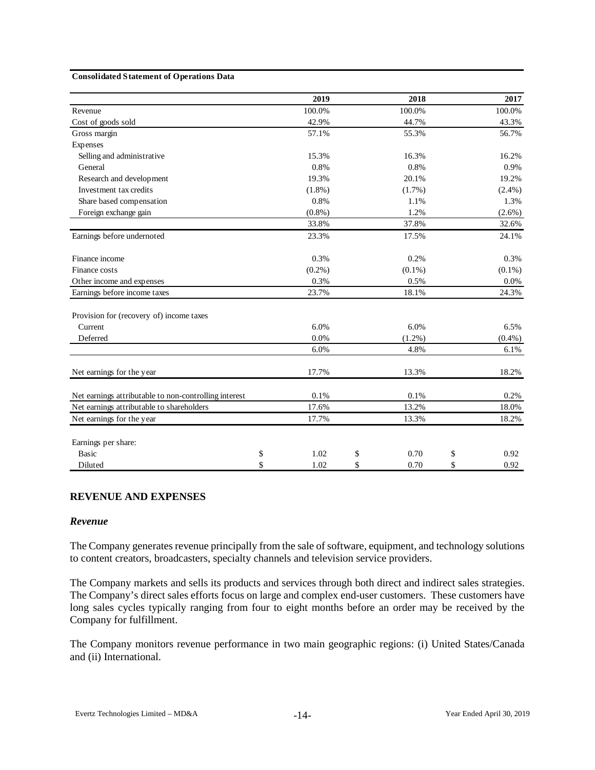#### **Consolidated Statement of Operations Data**

|                                                       | 2019       | 2018       | 2017       |
|-------------------------------------------------------|------------|------------|------------|
| Revenue                                               | 100.0%     | 100.0%     | 100.0%     |
| Cost of goods sold                                    | 42.9%      | 44.7%      | 43.3%      |
| Gross margin                                          | 57.1%      | 55.3%      | 56.7%      |
| Expenses                                              |            |            |            |
| Selling and administrative                            | 15.3%      | 16.3%      | 16.2%      |
| General                                               | 0.8%       | 0.8%       | 0.9%       |
| Research and development                              | 19.3%      | 20.1%      | 19.2%      |
| Investment tax credits                                | $(1.8\%)$  | (1.7%)     | $(2.4\%)$  |
| Share based compensation                              | 0.8%       | 1.1%       | 1.3%       |
| Foreign exchange gain                                 | $(0.8\%)$  | 1.2%       | (2.6%)     |
|                                                       | 33.8%      | 37.8%      | 32.6%      |
| Earnings before undernoted                            | 23.3%      | 17.5%      | 24.1%      |
| Finance income                                        | 0.3%       | 0.2%       | 0.3%       |
| Finance costs                                         | $(0.2\%)$  | $(0.1\%)$  | $(0.1\%)$  |
| Other income and expenses                             | 0.3%       | 0.5%       | 0.0%       |
| Earnings before income taxes                          | 23.7%      | 18.1%      | 24.3%      |
| Provision for (recovery of) income taxes              |            |            |            |
| Current                                               | 6.0%       | 6.0%       | 6.5%       |
| Deferred                                              | 0.0%       | $(1.2\%)$  | $(0.4\%)$  |
|                                                       | 6.0%       | 4.8%       | 6.1%       |
| Net earnings for the year                             | 17.7%      | 13.3%      | 18.2%      |
| Net earnings attributable to non-controlling interest | 0.1%       | 0.1%       | 0.2%       |
| Net earnings attributable to shareholders             | 17.6%      | 13.2%      | 18.0%      |
| Net earnings for the year                             | 17.7%      | 13.3%      | 18.2%      |
| Earnings per share:                                   |            |            |            |
| <b>Basic</b>                                          | \$<br>1.02 | \$<br>0.70 | \$<br>0.92 |
| Diluted                                               | \$<br>1.02 | \$<br>0.70 | \$<br>0.92 |

#### **REVENUE AND EXPENSES**

#### *Revenue*

The Company generates revenue principally from the sale of software, equipment, and technology solutions to content creators, broadcasters, specialty channels and television service providers.

The Company markets and sells its products and services through both direct and indirect sales strategies. The Company's direct sales efforts focus on large and complex end-user customers. These customers have long sales cycles typically ranging from four to eight months before an order may be received by the Company for fulfillment.

The Company monitors revenue performance in two main geographic regions: (i) United States/Canada and (ii) International.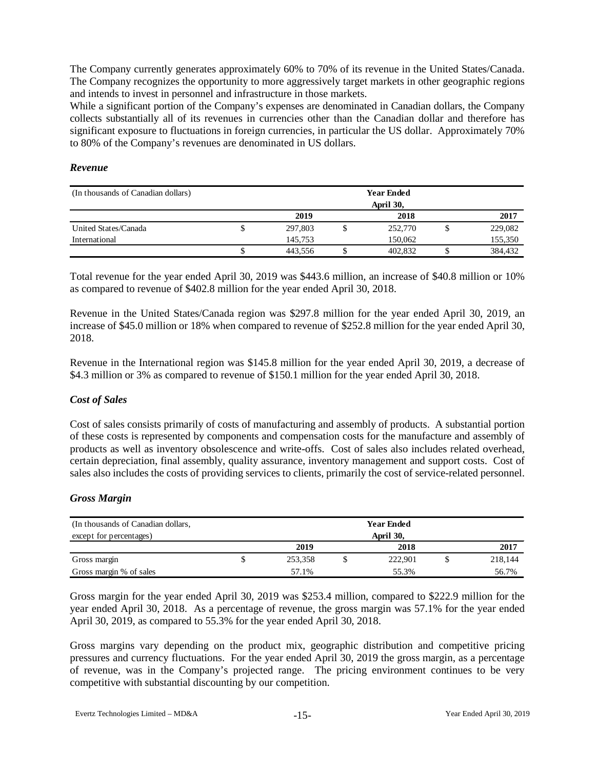The Company currently generates approximately 60% to 70% of its revenue in the United States/Canada. The Company recognizes the opportunity to more aggressively target markets in other geographic regions and intends to invest in personnel and infrastructure in those markets.

While a significant portion of the Company's expenses are denominated in Canadian dollars, the Company collects substantially all of its revenues in currencies other than the Canadian dollar and therefore has significant exposure to fluctuations in foreign currencies, in particular the US dollar. Approximately 70% to 80% of the Company's revenues are denominated in US dollars.

#### *Revenue*

| (In thousands of Canadian dollars) | <b>Year Ended</b> |         |  |           |  |         |  |
|------------------------------------|-------------------|---------|--|-----------|--|---------|--|
|                                    |                   |         |  | April 30, |  |         |  |
|                                    |                   | 2019    |  | 2018      |  | 2017    |  |
| United States/Canada               |                   | 297,803 |  | 252,770   |  | 229,082 |  |
| International                      |                   | 145.753 |  | 150.062   |  | 155,350 |  |
|                                    |                   | 443.556 |  | 402,832   |  | 384.432 |  |

Total revenue for the year ended April 30, 2019 was \$443.6 million, an increase of \$40.8 million or 10% as compared to revenue of \$402.8 million for the year ended April 30, 2018.

Revenue in the United States/Canada region was \$297.8 million for the year ended April 30, 2019, an increase of \$45.0 million or 18% when compared to revenue of \$252.8 million for the year ended April 30, 2018.

Revenue in the International region was \$145.8 million for the year ended April 30, 2019, a decrease of \$4.3 million or 3% as compared to revenue of \$150.1 million for the year ended April 30, 2018.

## *Cost of Sales*

Cost of sales consists primarily of costs of manufacturing and assembly of products. A substantial portion of these costs is represented by components and compensation costs for the manufacture and assembly of products as well as inventory obsolescence and write-offs. Cost of sales also includes related overhead, certain depreciation, final assembly, quality assurance, inventory management and support costs. Cost of sales also includes the costs of providing services to clients, primarily the cost of service-related personnel.

## *Gross Margin*

| (In thousands of Canadian dollars, | <b>Year Ended</b> |           |  |         |  |         |  |  |
|------------------------------------|-------------------|-----------|--|---------|--|---------|--|--|
| except for percentages)            |                   | April 30, |  |         |  |         |  |  |
|                                    |                   | 2019      |  | 2018    |  | 2017    |  |  |
| Gross margin                       |                   | 253,358   |  | 222.901 |  | 218,144 |  |  |
| Gross margin % of sales            |                   | 57.1%     |  | 55.3%   |  | 56.7%   |  |  |

Gross margin for the year ended April 30, 2019 was \$253.4 million, compared to \$222.9 million for the year ended April 30, 2018. As a percentage of revenue, the gross margin was 57.1% for the year ended April 30, 2019, as compared to 55.3% for the year ended April 30, 2018.

Gross margins vary depending on the product mix, geographic distribution and competitive pricing pressures and currency fluctuations. For the year ended April 30, 2019 the gross margin, as a percentage of revenue, was in the Company's projected range. The pricing environment continues to be very competitive with substantial discounting by our competition.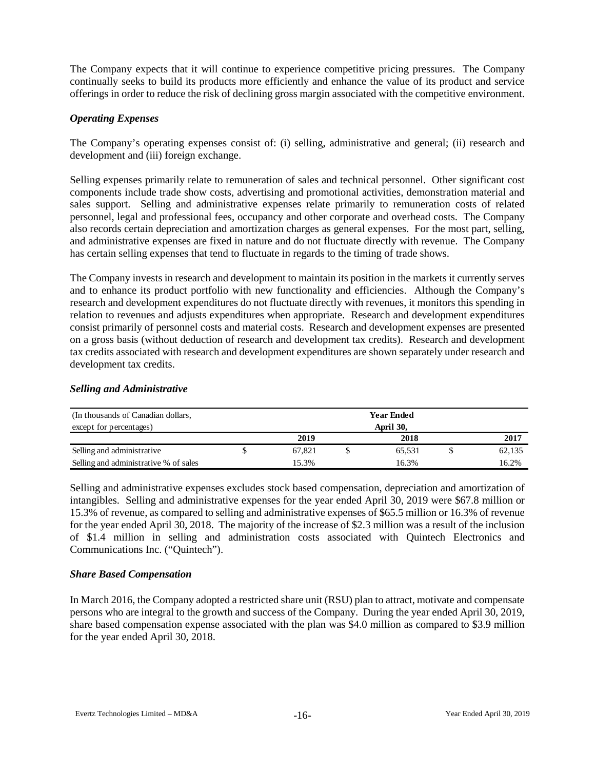The Company expects that it will continue to experience competitive pricing pressures. The Company continually seeks to build its products more efficiently and enhance the value of its product and service offerings in order to reduce the risk of declining gross margin associated with the competitive environment.

## *Operating Expenses*

The Company's operating expenses consist of: (i) selling, administrative and general; (ii) research and development and (iii) foreign exchange.

Selling expenses primarily relate to remuneration of sales and technical personnel. Other significant cost components include trade show costs, advertising and promotional activities, demonstration material and sales support. Selling and administrative expenses relate primarily to remuneration costs of related personnel, legal and professional fees, occupancy and other corporate and overhead costs. The Company also records certain depreciation and amortization charges as general expenses. For the most part, selling, and administrative expenses are fixed in nature and do not fluctuate directly with revenue. The Company has certain selling expenses that tend to fluctuate in regards to the timing of trade shows.

The Company invests in research and development to maintain its position in the markets it currently serves and to enhance its product portfolio with new functionality and efficiencies. Although the Company's research and development expenditures do not fluctuate directly with revenues, it monitors this spending in relation to revenues and adjusts expenditures when appropriate. Research and development expenditures consist primarily of personnel costs and material costs. Research and development expenses are presented on a gross basis (without deduction of research and development tax credits). Research and development tax credits associated with research and development expenditures are shown separately under research and development tax credits.

| (In thousands of Canadian dollars,    |        | <b>Year Ended</b> |        |
|---------------------------------------|--------|-------------------|--------|
| except for percentages)               |        | April 30,         |        |
|                                       | 2019   | 2018              | 2017   |
| Selling and administrative            | 67.821 | 65.531            | 62,135 |
| Selling and administrative % of sales | 15.3%  | 16.3%             | 16.2%  |

# *Selling and Administrative*

Selling and administrative expenses excludes stock based compensation, depreciation and amortization of intangibles. Selling and administrative expenses for the year ended April 30, 2019 were \$67.8 million or 15.3% of revenue, as compared to selling and administrative expenses of \$65.5 million or 16.3% of revenue for the year ended April 30, 2018. The majority of the increase of \$2.3 million was a result of the inclusion of \$1.4 million in selling and administration costs associated with Quintech Electronics and Communications Inc. ("Quintech").

## *Share Based Compensation*

In March 2016, the Company adopted a restricted share unit (RSU) plan to attract, motivate and compensate persons who are integral to the growth and success of the Company. During the year ended April 30, 2019, share based compensation expense associated with the plan was \$4.0 million as compared to \$3.9 million for the year ended April 30, 2018.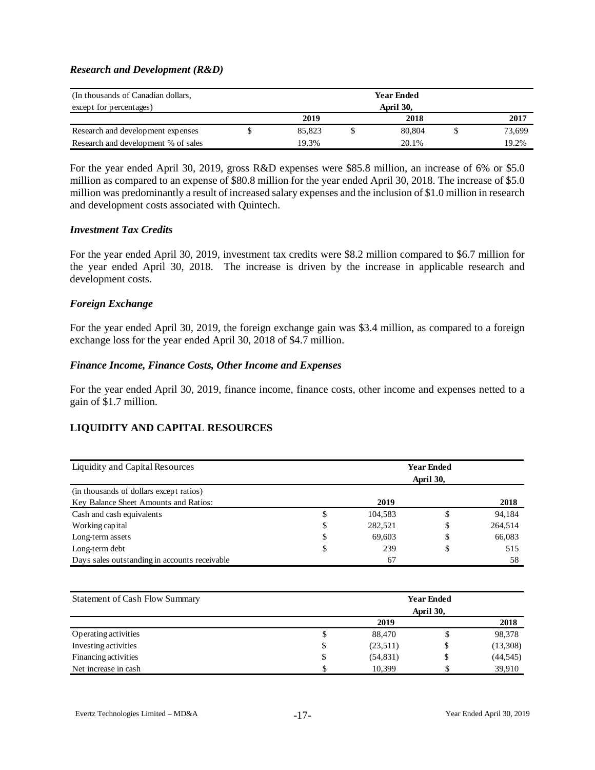### *Research and Development (R&D)*

| (In thousands of Canadian dollars,  |           |  | <b>Year Ended</b> |  |        |
|-------------------------------------|-----------|--|-------------------|--|--------|
| except for percentages)             | April 30, |  |                   |  |        |
|                                     | 2019      |  | 2018              |  | 2017   |
| Research and development expenses   | 85.823    |  | 80,804            |  | 73,699 |
| Research and development % of sales | 19.3%     |  | 20.1%             |  | 19.2%  |

For the year ended April 30, 2019, gross R&D expenses were \$85.8 million, an increase of 6% or \$5.0 million as compared to an expense of \$80.8 million for the year ended April 30, 2018. The increase of \$5.0 million was predominantly a result of increased salary expenses and the inclusion of \$1.0 million in research and development costs associated with Quintech.

#### *Investment Tax Credits*

For the year ended April 30, 2019, investment tax credits were \$8.2 million compared to \$6.7 million for the year ended April 30, 2018. The increase is driven by the increase in applicable research and development costs.

#### *Foreign Exchange*

For the year ended April 30, 2019, the foreign exchange gain was \$3.4 million, as compared to a foreign exchange loss for the year ended April 30, 2018 of \$4.7 million.

#### *Finance Income, Finance Costs, Other Income and Expenses*

For the year ended April 30, 2019, finance income, finance costs, other income and expenses netted to a gain of \$1.7 million.

# **LIQUIDITY AND CAPITAL RESOURCES**

| Liquidity and Capital Resources               |               | <b>Year Ended</b><br>April 30, |         |
|-----------------------------------------------|---------------|--------------------------------|---------|
| (in thousands of dollars except ratios)       |               |                                |         |
| Key Balance Sheet Amounts and Ratios:         | 2019          |                                | 2018    |
| Cash and cash equivalents                     | \$<br>104,583 | \$                             | 94,184  |
| Working capital                               | \$<br>282.521 | \$                             | 264,514 |
| Long-term assets                              | \$<br>69.603  | \$                             | 66,083  |
| Long-term debt                                | \$<br>239     | \$                             | 515     |
| Days sales outstanding in accounts receivable | 67            |                                | 58      |

| Statement of Cash Flow Summary |    |           | <b>Year Ended</b> |           |
|--------------------------------|----|-----------|-------------------|-----------|
|                                |    |           | April 30,         |           |
|                                |    | 2019      |                   | 2018      |
| Operating activities           | J  | 88,470    |                   | 98,378    |
| Investing activities           | \$ | (23,511)  | \$                | (13,308)  |
| Financing activities           | \$ | (54, 831) | \$                | (44, 545) |
| Net increase in cash           |    | 10,399    |                   | 39.910    |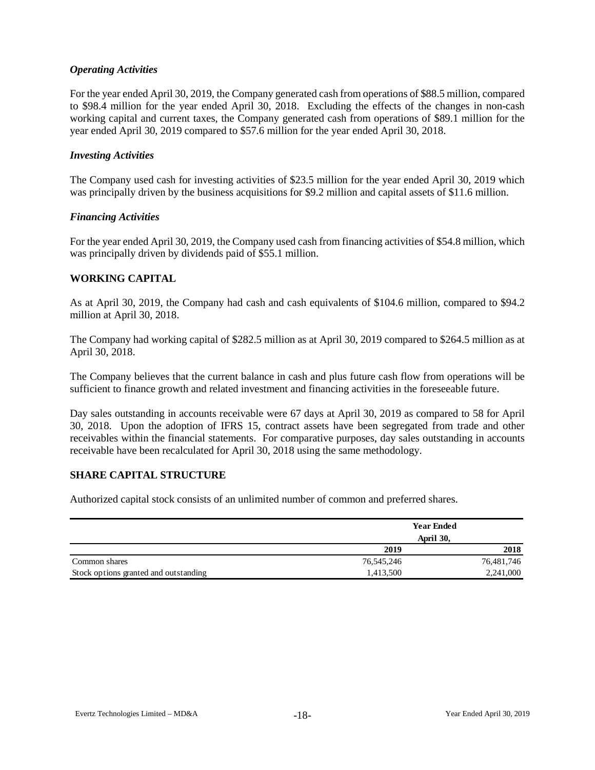## *Operating Activities*

For the year ended April 30, 2019, the Company generated cash from operations of \$88.5 million, compared to \$98.4 million for the year ended April 30, 2018. Excluding the effects of the changes in non-cash working capital and current taxes, the Company generated cash from operations of \$89.1 million for the year ended April 30, 2019 compared to \$57.6 million for the year ended April 30, 2018.

## *Investing Activities*

The Company used cash for investing activities of \$23.5 million for the year ended April 30, 2019 which was principally driven by the business acquisitions for \$9.2 million and capital assets of \$11.6 million.

#### *Financing Activities*

For the year ended April 30, 2019, the Company used cash from financing activities of \$54.8 million, which was principally driven by dividends paid of \$55.1 million.

## **WORKING CAPITAL**

As at April 30, 2019, the Company had cash and cash equivalents of \$104.6 million, compared to \$94.2 million at April 30, 2018.

The Company had working capital of \$282.5 million as at April 30, 2019 compared to \$264.5 million as at April 30, 2018.

The Company believes that the current balance in cash and plus future cash flow from operations will be sufficient to finance growth and related investment and financing activities in the foreseeable future.

Day sales outstanding in accounts receivable were 67 days at April 30, 2019 as compared to 58 for April 30, 2018. Upon the adoption of IFRS 15, contract assets have been segregated from trade and other receivables within the financial statements. For comparative purposes, day sales outstanding in accounts receivable have been recalculated for April 30, 2018 using the same methodology.

## **SHARE CAPITAL STRUCTURE**

Authorized capital stock consists of an unlimited number of common and preferred shares.

|                                       |            | <b>Year Ended</b><br>April 30, |  |  |
|---------------------------------------|------------|--------------------------------|--|--|
|                                       | 2019       |                                |  |  |
| Common shares                         | 76,545,246 | 76,481,746                     |  |  |
| Stock options granted and outstanding | 1,413,500  | 2,241,000                      |  |  |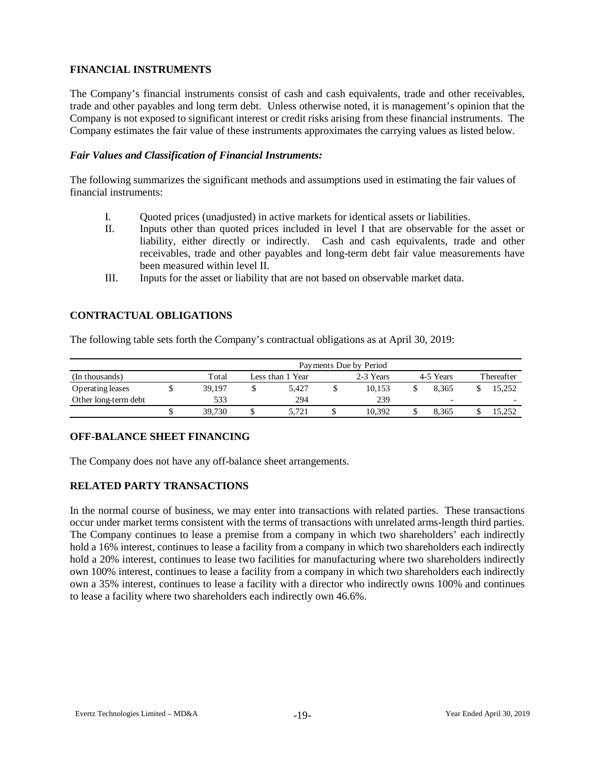# **FINANCIAL INSTRUMENTS**

The Company's financial instruments consist of cash and cash equivalents, trade and other receivables, trade and other payables and long term debt. Unless otherwise noted, it is management's opinion that the Company is not exposed to significant interest or credit risks arising from these financial instruments. The Company estimates the fair value of these instruments approximates the carrying values as listed below.

## *Fair Values and Classification of Financial Instruments:*

The following summarizes the significant methods and assumptions used in estimating the fair values of financial instruments:

- I. Quoted prices (unadjusted) in active markets for identical assets or liabilities.
- II. Inputs other than quoted prices included in level I that are observable for the asset or liability, either directly or indirectly. Cash and cash equivalents, trade and other receivables, trade and other payables and long-term debt fair value measurements have been measured within level II.
- III. Inputs for the asset or liability that are not based on observable market data.

# **CONTRACTUAL OBLIGATIONS**

The following table sets forth the Company's contractual obligations as at April 30, 2019:

| Payments Due by Period |  |        |   |                               |  |        |           |       |            |        |
|------------------------|--|--------|---|-------------------------------|--|--------|-----------|-------|------------|--------|
| (In thousands)         |  | Total  |   | 2-3 Years<br>Less than 1 Year |  |        | 4-5 Years |       | Thereafter |        |
| Operating leases       |  | 39.197 |   | 5.427                         |  | 10.153 |           | 8.365 |            | 15.252 |
| Other long-term debt   |  | 533    |   | 294                           |  | 239    |           | -     |            |        |
|                        |  | 39.730 | J | 5.721                         |  | 10.392 |           | 8.365 |            | 15,252 |

## **OFF-BALANCE SHEET FINANCING**

The Company does not have any off-balance sheet arrangements.

## **RELATED PARTY TRANSACTIONS**

In the normal course of business, we may enter into transactions with related parties. These transactions occur under market terms consistent with the terms of transactions with unrelated arms-length third parties. The Company continues to lease a premise from a company in which two shareholders' each indirectly hold a 16% interest, continues to lease a facility from a company in which two shareholders each indirectly hold a 20% interest, continues to lease two facilities for manufacturing where two shareholders indirectly own 100% interest, continues to lease a facility from a company in which two shareholders each indirectly own a 35% interest, continues to lease a facility with a director who indirectly owns 100% and continues to lease a facility where two shareholders each indirectly own 46.6%.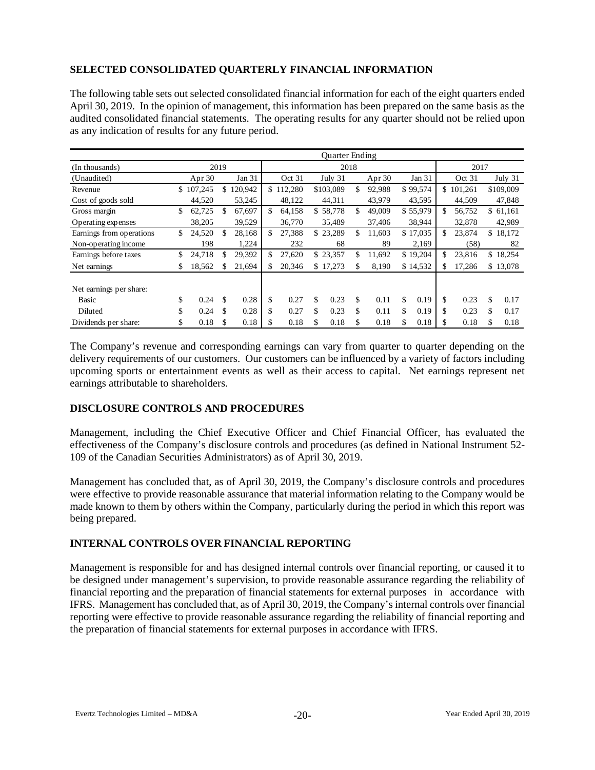# **SELECTED CONSOLIDATED QUARTERLY FINANCIAL INFORMATION**

The following table sets out selected consolidated financial information for each of the eight quarters ended April 30, 2019. In the opinion of management, this information has been prepared on the same basis as the audited consolidated financial statements. The operating results for any quarter should not be relied upon as any indication of results for any future period.

|                          |      | <b>Ouarter Ending</b> |    |         |      |           |    |           |    |          |    |          |      |         |    |           |
|--------------------------|------|-----------------------|----|---------|------|-----------|----|-----------|----|----------|----|----------|------|---------|----|-----------|
| (In thousands)           | 2019 |                       |    |         | 2018 |           |    |           |    |          |    |          | 2017 |         |    |           |
| (Unaudited)              |      | Apr 30                |    | Jan 31  |      | Oct 31    |    | July 31   |    | Apr $30$ |    | Jan 31   |      | Oct 31  |    | July 31   |
| Revenue                  | \$.  | 107,245               | \$ | 120,942 |      | \$112,280 |    | \$103,089 | \$ | 92,988   |    | \$99,574 | \$   | 101,261 |    | \$109,009 |
| Cost of goods sold       |      | 44,520                |    | 53,245  |      | 48,122    |    | 44,311    |    | 43,979   |    | 43,595   |      | 44,509  |    | 47,848    |
| Gross margin             | \$   | 62,725                | \$ | 67,697  | \$   | 64,158    |    | \$58,778  | \$ | 49,009   |    | \$55,979 | \$   | 56,752  |    | \$61,161  |
| Operating expenses       |      | 38,205                |    | 39,529  |      | 36,770    |    | 35,489    |    | 37,406   |    | 38,944   |      | 32,878  |    | 42,989    |
| Earnings from operations | \$   | 24,520                | \$ | 28,168  | \$   | 27,388    |    | \$23,289  | \$ | 11,603   |    | \$17,035 | \$   | 23,874  |    | \$18,172  |
| Non-operating income     |      | 198                   |    | 1,224   |      | 232       |    | 68        |    | 89       |    | 2,169    |      | (58)    |    | 82        |
| Earnings before taxes    | \$   | 24,718                | S  | 29,392  | \$.  | 27,620    |    | \$23,357  | \$ | 11,692   |    | \$19,204 | \$   | 23,816  | \$ | 18,254    |
| Net earnings             | \$   | 18,562                | \$ | 21,694  | \$.  | 20,346    |    | \$17,273  | \$ | 8,190    |    | \$14,532 | \$   | 17,286  |    | \$13,078  |
| Net earnings per share:  |      |                       |    |         |      |           |    |           |    |          |    |          |      |         |    |           |
| Basic                    | \$   | 0.24                  | \$ | 0.28    | \$   | 0.27      | \$ | 0.23      | \$ | 0.11     | \$ | 0.19     | \$   | 0.23    | \$ | 0.17      |
| Diluted                  | \$   | 0.24                  | \$ | 0.28    | \$   | 0.27      | \$ | 0.23      | \$ | 0.11     | \$ | 0.19     | \$   | 0.23    | \$ | 0.17      |
| Dividends per share:     | \$   | 0.18                  | S  | 0.18    | S    | 0.18      | S  | 0.18      | £. | 0.18     | S  | 0.18     | S    | 0.18    | S  | 0.18      |

The Company's revenue and corresponding earnings can vary from quarter to quarter depending on the delivery requirements of our customers. Our customers can be influenced by a variety of factors including upcoming sports or entertainment events as well as their access to capital. Net earnings represent net earnings attributable to shareholders.

## **DISCLOSURE CONTROLS AND PROCEDURES**

Management, including the Chief Executive Officer and Chief Financial Officer, has evaluated the effectiveness of the Company's disclosure controls and procedures (as defined in National Instrument 52- 109 of the Canadian Securities Administrators) as of April 30, 2019.

Management has concluded that, as of April 30, 2019, the Company's disclosure controls and procedures were effective to provide reasonable assurance that material information relating to the Company would be made known to them by others within the Company, particularly during the period in which this report was being prepared.

# **INTERNAL CONTROLS OVER FINANCIAL REPORTING**

Management is responsible for and has designed internal controls over financial reporting, or caused it to be designed under management's supervision, to provide reasonable assurance regarding the reliability of financial reporting and the preparation of financial statements for external purposes in accordance with IFRS. Management has concluded that, as of April 30, 2019, the Company's internal controls over financial reporting were effective to provide reasonable assurance regarding the reliability of financial reporting and the preparation of financial statements for external purposes in accordance with IFRS.